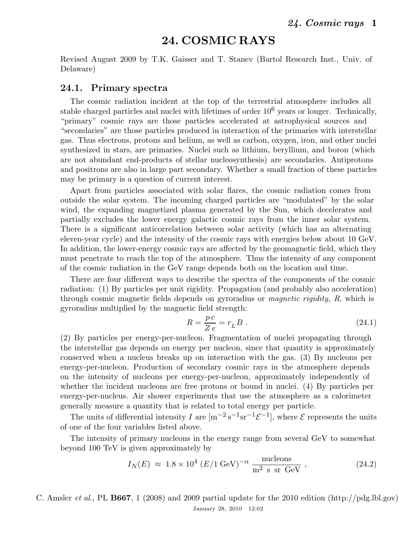# **24. COSMIC RAYS**

Revised August 2009 by T.K. Gaisser and T. Stanev (Bartol Research Inst., Univ. of Delaware)

#### **24.1. Primary spectra**

The cosmic radiation incident at the top of the terrestrial atmosphere includes all stable charged particles and nuclei with lifetimes of order 10<sup>6</sup> years or longer. Technically, "primary" cosmic rays are those particles accelerated at astrophysical sources and "secondaries" are those particles produced in interaction of the primaries with interstellar gas. Thus electrons, protons and helium, as well as carbon, oxygen, iron, and other nuclei synthesized in stars, are primaries. Nuclei such as lithium, beryllium, and boron (which are not abundant end-products of stellar nucleosynthesis) are secondaries. Antiprotons and positrons are also in large part secondary. Whether a small fraction of these particles may be primary is a question of current interest.

Apart from particles associated with solar flares, the cosmic radiation comes from outside the solar system. The incoming charged particles are "modulated" by the solar wind, the expanding magnetized plasma generated by the Sun, which decelerates and partially excludes the lower energy galactic cosmic rays from the inner solar system. There is a significant anticorrelation between solar activity (which has an alternating eleven-year cycle) and the intensity of the cosmic rays with energies below about 10 GeV. In addition, the lower-energy cosmic rays are affected by the geomagnetic field, which they must penetrate to reach the top of the atmosphere. Thus the intensity of any component of the cosmic radiation in the GeV range depends both on the location and time.

There are four different ways to describe the spectra of the components of the cosmic radiation: (1) By particles per unit rigidity. Propagation (and probably also acceleration) through cosmic magnetic fields depends on gyroradius or *magnetic rigidity, R*, which is gyroradius multiplied by the magnetic field strength:

$$
R = \frac{pc}{Ze} = r_L B \tag{24.1}
$$

(2) By particles per energy-per-nucleon. Fragmentation of nuclei propagating through the interstellar gas depends on energy per nucleon, since that quantity is approximately conserved when a nucleus breaks up on interaction with the gas. (3) By nucleons per energy-per-nucleon. Production of secondary cosmic rays in the atmosphere depends on the intensity of nucleons per energy-per-nucleon, approximately independently of whether the incident nucleons are free protons or bound in nuclei. (4) By particles per energy-per-nucleus. Air shower experiments that use the atmosphere as a calorimeter generally measure a quantity that is related to total energy per particle.

The units of differential intensity I are  $[m^{-2} s^{-1} sr^{-1} \mathcal{E}^{-1}]$ , where  $\mathcal E$  represents the units of one of the four variables listed above.

The intensity of primary nucleons in the energy range from several GeV to somewhat beyond 100 TeV is given approximately by

$$
I_N(E) \approx 1.8 \times 10^4 \left( E/1 \text{ GeV} \right)^{-\alpha} \frac{\text{nucleons}}{\text{m}^2 \text{ s sr GeV}} , \qquad (24.2)
$$

C. Amsler *et al.*, PL **B667**, 1 (2008) and 2009 partial update for the 2010 edition (http://pdg.lbl.gov) January 28, 2010 12:02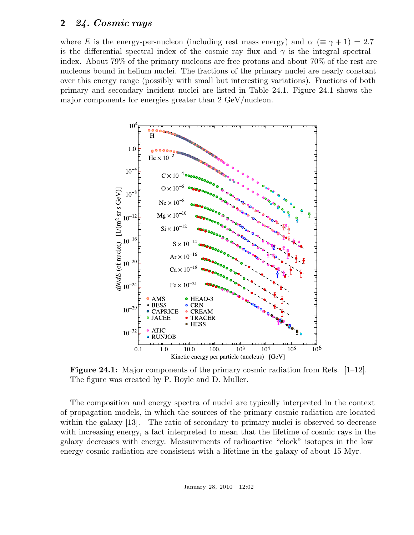where E is the energy-per-nucleon (including rest mass energy) and  $\alpha$  ( $\equiv \gamma + 1$ ) = 2.7 is the differential spectral index of the cosmic ray flux and  $\gamma$  is the integral spectral index. About 79% of the primary nucleons are free protons and about 70% of the rest are nucleons bound in helium nuclei. The fractions of the primary nuclei are nearly constant over this energy range (possibly with small but interesting variations). Fractions of both primary and secondary incident nuclei are listed in Table 24.1. Figure 24.1 shows the major components for energies greater than 2 GeV/nucleon.



**Figure 24.1:** Major components of the primary cosmic radiation from Refs. [1–12]. The figure was created by P. Boyle and D. Muller.

The composition and energy spectra of nuclei are typically interpreted in the context of propagation models, in which the sources of the primary cosmic radiation are located within the galaxy [13]. The ratio of secondary to primary nuclei is observed to decrease with increasing energy, a fact interpreted to mean that the lifetime of cosmic rays in the galaxy decreases with energy. Measurements of radioactive "clock" isotopes in the low energy cosmic radiation are consistent with a lifetime in the galaxy of about 15 Myr.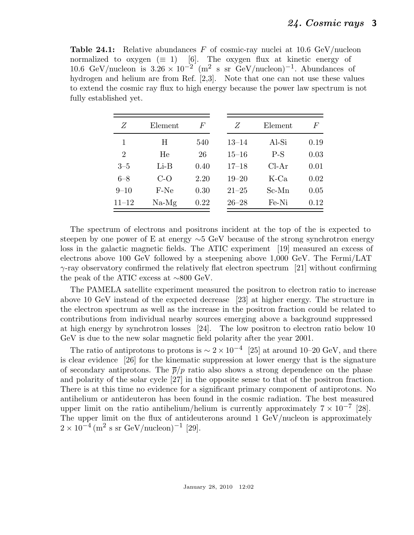**Table 24.1:** Relative abundances  $F$  of cosmic-ray nuclei at 10.6 GeV/nucleon normalized to oxygen  $( \equiv 1)$  [6]. The oxygen flux at kinetic energy of normalized to oxygen  $(\equiv 1)$  [6]. The oxygen flux at kinetic energy of 10.6 GeV/nucleon is  $3.26 \times 10^{-2}$  (m<sup>2</sup> s sr GeV/nucleon)<sup>-1</sup>. Abundances of hydrogen and helium are from Ref. [2,3]. Note that one can not use these values to extend the cosmic ray flux to high energy because the power law spectrum is not fully established yet.

| Ζ              | Element | $\boldsymbol{F}$ | Ζ         | Element | F    |
|----------------|---------|------------------|-----------|---------|------|
| 1              | H       | 540              | $13 - 14$ | Al-Si   | 0.19 |
| $\mathfrak{D}$ | He      | 26               | $15 - 16$ | $P-S$   | 0.03 |
| $3 - 5$        | $Li-B$  | 0.40             | $17 - 18$ | $Cl-Ar$ | 0.01 |
| $6 - 8$        | $C-O$   | 2.20             | $19 - 20$ | K-Ca    | 0.02 |
| $9 - 10$       | $F-Ne$  | 0.30             | $21 - 25$ | $Sc-Mn$ | 0.05 |
| $11 - 12$      | $Na-Mg$ | $0.22\,$         | $26 - 28$ | Fe-Ni   | 0.12 |

The spectrum of electrons and positrons incident at the top of the is expected to steepen by one power of E at energy ∼5 GeV because of the strong synchrotron energy loss in the galactic magnetic fields. The ATIC experiment [19] measured an excess of electrons above 100 GeV followed by a steepening above 1,000 GeV. The Fermi/LAT  $\gamma$ -ray observatory confirmed the relatively flat electron spectrum [21] without confirming the peak of the ATIC excess at ∼800 GeV.

The PAMELA satellite experiment measured the positron to electron ratio to increase above 10 GeV instead of the expected decrease [23] at higher energy. The structure in the electron spectrum as well as the increase in the positron fraction could be related to contributions from individual nearby sources emerging above a background suppressed at high energy by synchrotron losses [24]. The low positron to electron ratio below 10 GeV is due to the new solar magnetic field polarity after the year 2001.

The ratio of antiprotons to protons is  $\sim 2 \times 10^{-4}$  [25] at around 10–20 GeV, and there is clear evidence [26] for the kinematic suppression at lower energy that is the signature of secondary antiprotons. The  $\bar{p}/p$  ratio also shows a strong dependence on the phase and polarity of the solar cycle [27] in the opposite sense to that of the positron fraction. There is at this time no evidence for a significant primary component of antiprotons. No antihelium or antideuteron has been found in the cosmic radiation. The best measured upper limit on the ratio antihelium/helium is currently approximately  $7 \times 10^{-7}$  [28]. The upper limit on the flux of antideuterons around 1 GeV/nucleon is approximately  $2 \times 10^{-4}$  (m<sup>2</sup> s sr GeV/nucleon)<sup>-1</sup> [29].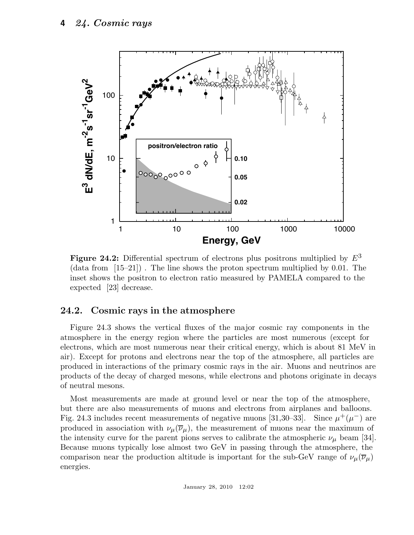

**Figure 24.2:** Differential spectrum of electrons plus positrons multiplied by  $E^3$ (data from  $[15–21]$ ). The line shows the proton spectrum multiplied by 0.01. The inset shows the positron to electron ratio measured by PAMELA compared to the expected [23] decrease.

#### **24.2. Cosmic rays in the atmosphere**

Figure 24.3 shows the vertical fluxes of the major cosmic ray components in the atmosphere in the energy region where the particles are most numerous (except for electrons, which are most numerous near their critical energy, which is about 81 MeV in air). Except for protons and electrons near the top of the atmosphere, all particles are produced in interactions of the primary cosmic rays in the air. Muons and neutrinos are products of the decay of charged mesons, while electrons and photons originate in decays of neutral mesons.

Most measurements are made at ground level or near the top of the atmosphere, but there are also measurements of muons and electrons from airplanes and balloons. Fig. 24.3 includes recent measurements of negative muons [31,30–33]. Since  $\mu^+(\mu^-)$  are produced in association with  $\nu_{\mu}(\overline{\nu}_{\mu})$ , the measurement of muons near the maximum of the intensity curve for the parent pions serves to calibrate the atmospheric  $\nu_{\mu}$  beam [34]. Because muons typically lose almost two GeV in passing through the atmosphere, the comparison near the production altitude is important for the sub-GeV range of  $\nu_\mu(\overline{\nu}_\mu)$ energies.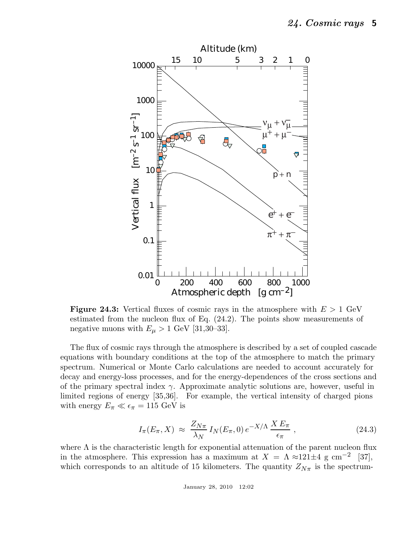

**Figure 24.3:** Vertical fluxes of cosmic rays in the atmosphere with  $E > 1$  GeV estimated from the nucleon flux of Eq. (24.2). The points show measurements of negative muons with  $E_{\mu} > 1$  GeV [31,30–33].

The flux of cosmic rays through the atmosphere is described by a set of coupled cascade equations with boundary conditions at the top of the atmosphere to match the primary spectrum. Numerical or Monte Carlo calculations are needed to account accurately for decay and energy-loss processes, and for the energy-dependences of the cross sections and of the primary spectral index  $\gamma$ . Approximate analytic solutions are, however, useful in limited regions of energy [35,36]. For example, the vertical intensity of charged pions with energy  $E_\pi\ll\epsilon_\pi=115~\mathrm{GeV}$  is

$$
I_{\pi}(E_{\pi}, X) \approx \frac{Z_{N\pi}}{\lambda_N} I_N(E_{\pi}, 0) e^{-X/\Lambda} \frac{X E_{\pi}}{\epsilon_{\pi}}, \qquad (24.3)
$$

where  $\Lambda$  is the characteristic length for exponential attenuation of the parent nucleon flux in the atmosphere. This expression has a maximum at  $X = \Lambda \approx 121 \pm 4$  g cm<sup>-2</sup> [37], which corresponds to an altitude of 15 kilometers. The quantity  $Z_{N\pi}$  is the spectrum-

January 28, 2010 12:02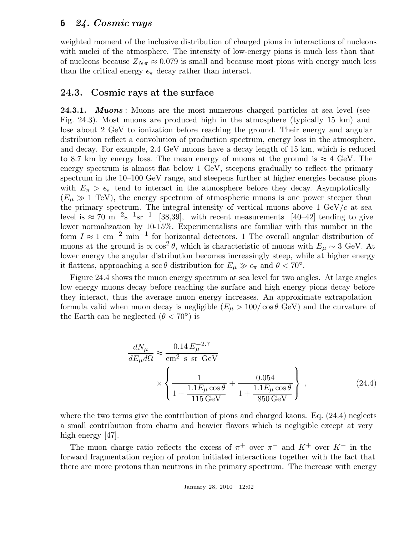weighted moment of the inclusive distribution of charged pions in interactions of nucleons with nuclei of the atmosphere. The intensity of low-energy pions is much less than that of nucleons because  $Z_{N\pi} \approx 0.079$  is small and because most pions with energy much less than the critical energy  $\epsilon_{\pi}$  decay rather than interact.

#### **24.3. Cosmic rays at the surface**

**24.3.1.** *Muons* : Muons are the most numerous charged particles at sea level (see Fig. 24.3). Most muons are produced high in the atmosphere (typically 15 km) and lose about 2 GeV to ionization before reaching the ground. Their energy and angular distribution reflect a convolution of production spectrum, energy loss in the atmosphere, and decay. For example, 2.4 GeV muons have a decay length of 15 km, which is reduced to 8.7 km by energy loss. The mean energy of muons at the ground is  $\approx 4$  GeV. The energy spectrum is almost flat below 1 GeV, steepens gradually to reflect the primary spectrum in the 10–100 GeV range, and steepens further at higher energies because pions with  $E_{\pi} > \epsilon_{\pi}$  tend to interact in the atmosphere before they decay. Asymptotically  $(E_{\mu} \gg 1 \text{ TeV})$ , the energy spectrum of atmospheric muons is one power steeper than the primary spectrum. The integral intensity of vertical muons above 1  $\text{GeV}/c$  at sea level is  $\approx 70 \text{ m}^{-2}\text{s}^{-1}\text{sr}^{-1}$  [38,39], with recent measurements [40–42] tending to give lower normalization by 10-15%. Experimentalists are familiar with this number in the form  $I \approx 1$  cm<sup>-2</sup> min<sup>-1</sup> for horizontal detectors. 1 The overall angular distribution of muons at the ground is  $\propto \cos^2 \theta$ , which is characteristic of muons with  $E_\mu \sim 3$  GeV. At lower energy the angular distribution becomes increasingly steep, while at higher energy it flattens, approaching a sec  $\theta$  distribution for  $E_{\mu} \gg \epsilon_{\pi}$  and  $\theta < 70^{\circ}$ .

Figure 24.4 shows the muon energy spectrum at sea level for two angles. At large angles low energy muons decay before reaching the surface and high energy pions decay before they interact, thus the average muon energy increases. An approximate extrapolation formula valid when muon decay is negligible  $(E_{\mu} > 100/\cos\theta \text{ GeV})$  and the curvature of the Earth can be neglected  $(\theta < 70^{\circ})$  is

$$
\frac{dN_{\mu}}{dE_{\mu}d\Omega} \approx \frac{0.14 E_{\mu}^{-2.7}}{\text{cm}^2 \text{ s sr GeV}} \times \left\{ \frac{1}{1 + \frac{1.1 E_{\mu} \cos \theta}{115 \text{ GeV}}} + \frac{0.054}{1 + \frac{1.1 E_{\mu} \cos \theta}{850 \text{ GeV}}} \right\},
$$
\n(24.4)

where the two terms give the contribution of pions and charged kaons. Eq. (24.4) neglects a small contribution from charm and heavier flavors which is negligible except at very high energy [47].

The muon charge ratio reflects the excess of  $\pi$ <sup>+</sup> over  $\pi$ <sup>-</sup> and  $K$ <sup>+</sup> over  $K$ <sup>-</sup> in the forward fragmentation region of proton initiated interactions together with the fact that there are more protons than neutrons in the primary spectrum. The increase with energy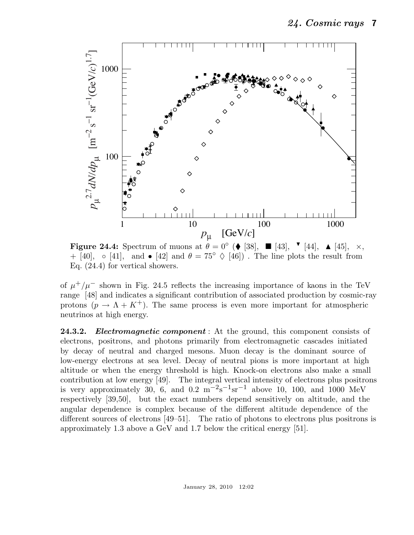

**Figure 24.4:** Spectrum of muons at  $\theta = 0^{\circ}$  ( $\blacklozenge$  [38],  $\blacksquare$  [43],  $\blacktriangledown$  [44],  $\blacktriangle$  [45],  $\times$ ,<br>  $\pm$  [40]  $\blacksquare$  (42] and  $\theta = 75^{\circ}$  (5. [46]). The line plots the result from + [40], ∘ [41], and • [42] and  $\theta = 75^{\circ} \Diamond$  [46]). The line plots the result from Eq. (24.4) for vertical showers.

of  $\mu^+/\mu^-$  shown in Fig. 24.5 reflects the increasing importance of kaons in the TeV range [48] and indicates a significant contribution of associated production by cosmic-ray protons  $(p \to \Lambda + K^+)$ . The same process is even more important for atmospheric neutrinos at high energy.

**24.3.2.** *Electromagnetic component* : At the ground, this component consists of electrons, positrons, and photons primarily from electromagnetic cascades initiated by decay of neutral and charged mesons. Muon decay is the dominant source of low-energy electrons at sea level. Decay of neutral pions is more important at high altitude or when the energy threshold is high. Knock-on electrons also make a small contribution at low energy [49]. The integral vertical intensity of electrons plus positrons is very approximately 30, 6, and 0.2 m<sup>-2</sup>s<sup>-1</sup>sr<sup>-1</sup> above 10, 100, and 1000 MeV respectively [39,50], but the exact numbers depend sensitively on altitude, and the angular dependence is complex because of the different altitude dependence of the different sources of electrons [49–51]. The ratio of photons to electrons plus positrons is approximately 1.3 above a GeV and 1.7 below the critical energy [51].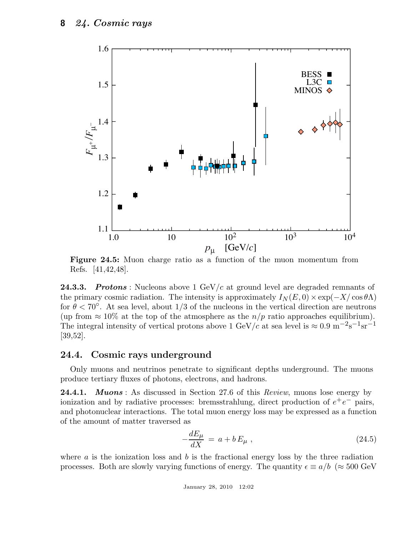

**Figure 24.5:** Muon charge ratio as a function of the muon momentum from Refs. [41,42,48].

24.3.3. *Protons*: Nucleons above 1 GeV/c at ground level are degraded remnants of the primary cosmic radiation. The intensity is approximately  $I_N(E, 0) \times \exp(-X/\cos \theta \Lambda)$ for  $\theta < 70^{\circ}$ . At sea level, about 1/3 of the nucleons in the vertical direction are neutrons (up from  $\approx 10\%$  at the top of the atmosphere as the  $n/p$  ratio approaches equilibrium). The integral intensity of vertical protons above 1 GeV/c at sea level is  $\approx 0.9 \text{ m}^{-2}\text{s}^{-1}\text{sr}^{-1}$ [39,52].

#### **24.4. Cosmic rays underground**

Only muons and neutrinos penetrate to significant depths underground. The muons produce tertiary fluxes of photons, electrons, and hadrons.

**24.4.1.** *Muons* : As discussed in Section 27.6 of this *Review*, muons lose energy by ionization and by radiative processes: bremsstrahlung, direct production of  $e^+e^-$  pairs, and photonuclear interactions. The total muon energy loss may be expressed as a function of the amount of matter traversed as

$$
-\frac{dE_{\mu}}{dX} = a + b E_{\mu} , \qquad (24.5)
$$

where  $a$  is the ionization loss and  $b$  is the fractional energy loss by the three radiation processes. Both are slowly varying functions of energy. The quantity  $\epsilon \equiv a/b$  ( $\approx 500 \text{ GeV}$ )

January 28, 2010 12:02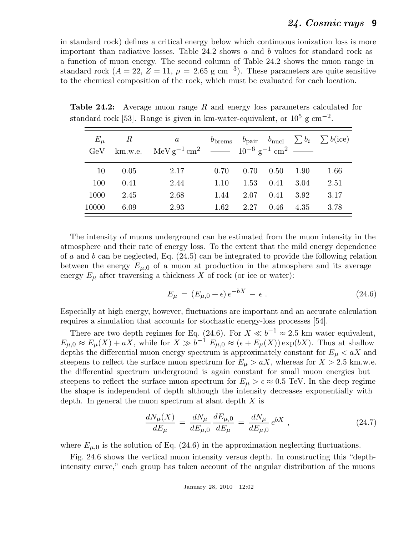in standard rock) defines a critical energy below which continuous ionization loss is more important than radiative losses. Table  $24.2$  shows a and b values for standard rock as a function of muon energy. The second column of Table 24.2 shows the muon range in standard rock ( $A = 22$ ,  $Z = 11$ ,  $\rho = 2.65$  g cm<sup>-3</sup>). These parameters are quite sensitive to the chemical composition of the rock, which must be evaluated for each location.

**Table 24.2:** Average muon range R and energy loss parameters calculated for standard rock [53]. Range is given in km-water-equivalent, or  $10^5$  g cm<sup>-2</sup>.

| $E_{\mu}$ | R<br>GeV km.w.e. | a<br>$\text{MeV g}^{-1} \text{ cm}^2$ $\text{---}$ $10^{-6} \text{ g}^{-1} \text{ cm}^2$ $\text{---}$ |      |                |                   | $b_{\text{brems}}$ $b_{\text{pair}}$ $b_{\text{nucl}}$ $\sum b_i$ $\sum b(\text{ice})$ |
|-----------|------------------|-------------------------------------------------------------------------------------------------------|------|----------------|-------------------|----------------------------------------------------------------------------------------|
| 10        | 0.05             | 2.17                                                                                                  | 0.70 | 0.70           | $0.50 \quad 1.90$ | 1.66                                                                                   |
| 100       | 0.41             | 2.44                                                                                                  | 1.10 | 1.53           | $0.41 \quad 3.04$ | 2.51                                                                                   |
| 1000      | 2.45             | 2.68                                                                                                  | 1.44 | 2.07           | $0.41 \quad 3.92$ | 3.17                                                                                   |
| 10000     | 6.09             | 2.93                                                                                                  |      | $1.62 \t 2.27$ | $0.46$ 4.35       | 3.78                                                                                   |

The intensity of muons underground can be estimated from the muon intensity in the atmosphere and their rate of energy loss. To the extent that the mild energy dependence of a and b can be neglected, Eq. (24.5) can be integrated to provide the following relation between the energy  $E_{\mu,0}$  of a muon at production in the atmosphere and its average energy  $E_{\mu}$  after traversing a thickness X of rock (or ice or water):

$$
E_{\mu} = (E_{\mu,0} + \epsilon) e^{-bX} - \epsilon . \qquad (24.6)
$$

Especially at high energy, however, fluctuations are important and an accurate calculation requires a simulation that accounts for stochastic energy-loss processes [54].

There are two depth regimes for Eq. (24.6). For  $X \ll b^{-1} \approx 2.5$  km water equivalent,  $E_{\mu,0} \approx E_{\mu}(X) + aX$ , while for  $X \gg b^{-1} E_{\mu,0} \approx (\epsilon + E_{\mu}(X)) \exp(bX)$ . Thus at shallow depths the differential muon energy spectrum is approximately constant for  $E_{\mu} < aX$  and steepens to reflect the surface muon spectrum for  $E_{\mu} > aX$ , whereas for  $X > 2.5$  km.w.e. the differential spectrum underground is again constant for small muon energies but steepens to reflect the surface muon spectrum for  $E_{\mu} > \epsilon \approx 0.5$  TeV. In the deep regime the shape is independent of depth although the intensity decreases exponentially with depth. In general the muon spectrum at slant depth  $X$  is

$$
\frac{dN_{\mu}(X)}{dE_{\mu}} = \frac{dN_{\mu}}{dE_{\mu,0}} \frac{dE_{\mu,0}}{dE_{\mu}} = \frac{dN_{\mu}}{dE_{\mu,0}} e^{bX} , \qquad (24.7)
$$

where  $E_{\mu,0}$  is the solution of Eq. (24.6) in the approximation neglecting fluctuations.

Fig. 24.6 shows the vertical muon intensity versus depth. In constructing this "depthintensity curve," each group has taken account of the angular distribution of the muons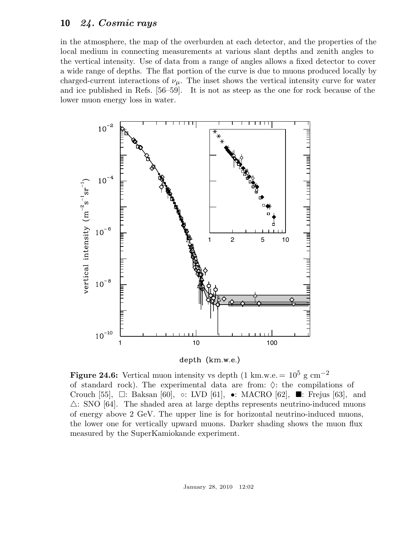in the atmosphere, the map of the overburden at each detector, and the properties of the local medium in connecting measurements at various slant depths and zenith angles to the vertical intensity. Use of data from a range of angles allows a fixed detector to cover a wide range of depths. The flat portion of the curve is due to muons produced locally by charged-current interactions of  $\nu_{\mu}$ . The inset shows the vertical intensity curve for water and ice published in Refs. [56–59]. It is not as steep as the one for rock because of the lower muon energy loss in water.





**Figure 24.6:** Vertical muon intensity vs depth (1 km.w.e. =  $10^5$  g cm<sup>-2</sup> of standard rock). The experimental data are from:  $\Diamond$ : the compilations of Crouch [55],  $\square$ : Baksan [60], ◦: LVD [61], •: MACRO [62], ■: Frejus [63], and  $\triangle$ : SNO [64]. The shaded area at large depths represents neutrino-induced muons of energy above 2 GeV. The upper line is for horizontal neutrino-induced muons, the lower one for vertically upward muons. Darker shading shows the muon flux measured by the SuperKamiokande experiment.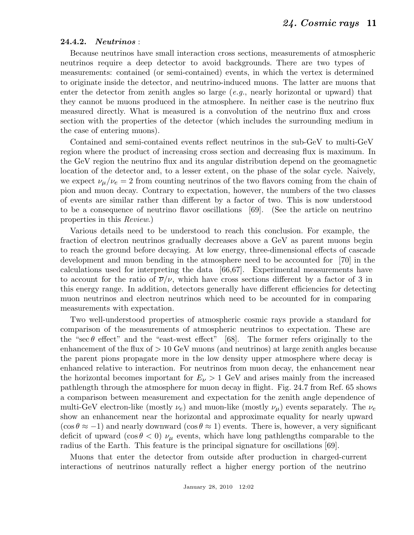#### **24.4.2.** *Neutrinos* :

Because neutrinos have small interaction cross sections, measurements of atmospheric neutrinos require a deep detector to avoid backgrounds. There are two types of measurements: contained (or semi-contained) events, in which the vertex is determined to originate inside the detector, and neutrino-induced muons. The latter are muons that enter the detector from zenith angles so large (*e.g.*, nearly horizontal or upward) that they cannot be muons produced in the atmosphere. In neither case is the neutrino flux measured directly. What is measured is a convolution of the neutrino flux and cross section with the properties of the detector (which includes the surrounding medium in the case of entering muons).

Contained and semi-contained events reflect neutrinos in the sub-GeV to multi-GeV region where the product of increasing cross section and decreasing flux is maximum. In the GeV region the neutrino flux and its angular distribution depend on the geomagnetic location of the detector and, to a lesser extent, on the phase of the solar cycle. Naively, we expect  $\nu_{\mu}/\nu_{e} = 2$  from counting neutrinos of the two flavors coming from the chain of pion and muon decay. Contrary to expectation, however, the numbers of the two classes of events are similar rather than different by a factor of two. This is now understood to be a consequence of neutrino flavor oscillations [69]. (See the article on neutrino properties in this *Review*.)

Various details need to be understood to reach this conclusion. For example, the fraction of electron neutrinos gradually decreases above a GeV as parent muons begin to reach the ground before decaying. At low energy, three-dimensional effects of cascade development and muon bending in the atmosphere need to be accounted for [70] in the calculations used for interpreting the data [66,67]. Experimental measurements have to account for the ratio of  $\overline{\nu}/\nu$ , which have cross sections different by a factor of 3 in this energy range. In addition, detectors generally have different efficiencies for detecting muon neutrinos and electron neutrinos which need to be accounted for in comparing measurements with expectation.

Two well-understood properties of atmospheric cosmic rays provide a standard for comparison of the measurements of atmospheric neutrinos to expectation. These are the "sec  $\theta$  effect" and the "east-west effect" [68]. The former refers originally to the enhancement of the flux of  $> 10 \text{ GeV}$  muons (and neutrinos) at large zenith angles because the parent pions propagate more in the low density upper atmosphere where decay is enhanced relative to interaction. For neutrinos from muon decay, the enhancement near the horizontal becomes important for  $E_{\nu} > 1$  GeV and arises mainly from the increased pathlength through the atmosphere for muon decay in flight. Fig. 24.7 from Ref. 65 shows a comparison between measurement and expectation for the zenith angle dependence of multi-GeV electron-like (mostly  $\nu_e$ ) and muon-like (mostly  $\nu_\mu$ ) events separately. The  $\nu_e$ show an enhancement near the horizontal and approximate equality for nearly upward  $(\cos \theta \approx -1)$  and nearly downward  $(\cos \theta \approx 1)$  events. There is, however, a very significant deficit of upward  $(\cos \theta < 0)$   $\nu_{\mu}$  events, which have long pathlengths comparable to the radius of the Earth. This feature is the principal signature for oscillations [69].

Muons that enter the detector from outside after production in charged-current interactions of neutrinos naturally reflect a higher energy portion of the neutrino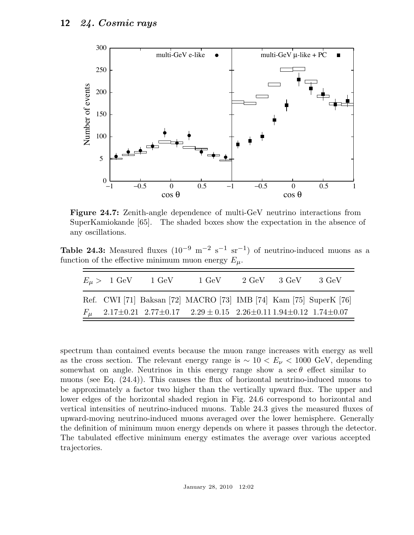

**Figure 24.7:** Zenith-angle dependence of multi-GeV neutrino interactions from SuperKamiokande [65]. The shaded boxes show the expectation in the absence of any oscillations.

**Table 24.3:** Measured fluxes  $(10^{-9} \text{ m}^{-2} \text{ s}^{-1} \text{ sr}^{-1})$  of neutrino-induced muons as a function of the effective minimum muon energy  $E_{\mu}$ .

| $E_{\mu} > 1$ GeV | $1~\mathrm{GeV}$ | 1 GeV                                                                   | $2 \text{ GeV} = 3 \text{ GeV}$ | 3 GeV |
|-------------------|------------------|-------------------------------------------------------------------------|---------------------------------|-------|
|                   |                  | Ref. CWI [71] Baksan [72] MACRO [73] IMB [74] Kam [75] SuperK [76]      |                                 |       |
|                   |                  | $F_{\mu}$ 2.17±0.21 2.77±0.17 2.29 ± 0.15 2.26±0.11 1.94±0.12 1.74±0.07 |                                 |       |

spectrum than contained events because the muon range increases with energy as well as the cross section. The relevant energy range is  $\sim 10 < E_{\nu} < 1000$  GeV, depending somewhat on angle. Neutrinos in this energy range show a sec  $\theta$  effect similar to muons (see Eq. (24.4)). This causes the flux of horizontal neutrino-induced muons to be approximately a factor two higher than the vertically upward flux. The upper and lower edges of the horizontal shaded region in Fig. 24.6 correspond to horizontal and vertical intensities of neutrino-induced muons. Table 24.3 gives the measured fluxes of upward-moving neutrino-induced muons averaged over the lower hemisphere. Generally the definition of minimum muon energy depends on where it passes through the detector. The tabulated effective minimum energy estimates the average over various accepted trajectories.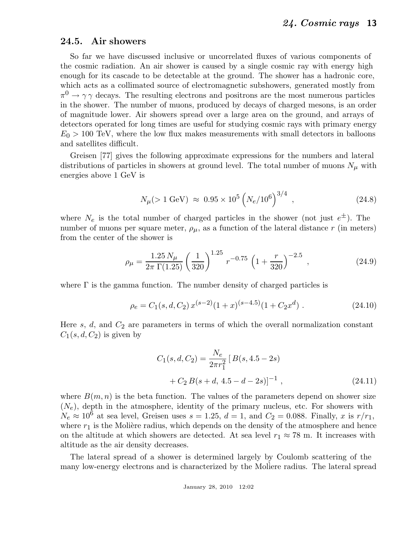#### **24.5. Air showers**

So far we have discussed inclusive or uncorrelated fluxes of various components of the cosmic radiation. An air shower is caused by a single cosmic ray with energy high enough for its cascade to be detectable at the ground. The shower has a hadronic core, which acts as a collimated source of electromagnetic subshowers, generated mostly from  $\pi^0 \rightarrow \gamma \gamma$  decays. The resulting electrons and positrons are the most numerous particles in the shower. The number of muons, produced by decays of charged mesons, is an order of magnitude lower. Air showers spread over a large area on the ground, and arrays of detectors operated for long times are useful for studying cosmic rays with primary energy  $E_0 > 100$  TeV, where the low flux makes measurements with small detectors in balloons and satellites difficult.

Greisen [77] gives the following approximate expressions for the numbers and lateral distributions of particles in showers at ground level. The total number of muons  $N_{\mu}$  with energies above 1 GeV is

$$
N_{\mu}(>1 \text{ GeV}) \approx 0.95 \times 10^5 \left(N_e/10^6\right)^{3/4}, \qquad (24.8)
$$

where  $N_e$  is the total number of charged particles in the shower (not just  $e^{\pm}$ ). The number of muons per square meter,  $\rho_{\mu}$ , as a function of the lateral distance r (in meters) from the center of the shower is

$$
\rho_{\mu} = \frac{1.25 N_{\mu}}{2\pi \Gamma(1.25)} \left(\frac{1}{320}\right)^{1.25} r^{-0.75} \left(1 + \frac{r}{320}\right)^{-2.5}, \qquad (24.9)
$$

where  $\Gamma$  is the gamma function. The number density of charged particles is

$$
\rho_e = C_1(s, d, C_2) x^{(s-2)} (1+x)^{(s-4.5)} (1+C_2 x^d) \tag{24.10}
$$

Here  $s, d$ , and  $C_2$  are parameters in terms of which the overall normalization constant  $C_1(s, d, C_2)$  is given by

$$
C_1(s, d, C_2) = \frac{N_e}{2\pi r_1^2} [B(s, 4.5 - 2s)
$$
  
+ C<sub>2</sub> B(s + d, 4.5 - d - 2s)]<sup>-1</sup>, (24.11)

where  $B(m, n)$  is the beta function. The values of the parameters depend on shower size  $(N_e)$ , depth in the atmosphere, identity of the primary nucleus, etc. For showers with  $N_e \approx 10^6$  at sea level, Greisen uses  $s = 1.25$ ,  $d = 1$ , and  $C_2 = 0.088$ . Finally, x is  $r/r_1$ , where  $r_1$  is the Molière radius, which depends on the density of the atmosphere and hence on the altitude at which showers are detected. At sea level  $r_1 \approx 78$  m. It increases with altitude as the air density decreases.

The lateral spread of a shower is determined largely by Coulomb scattering of the many low-energy electrons and is characterized by the Moliere radius. The lateral spread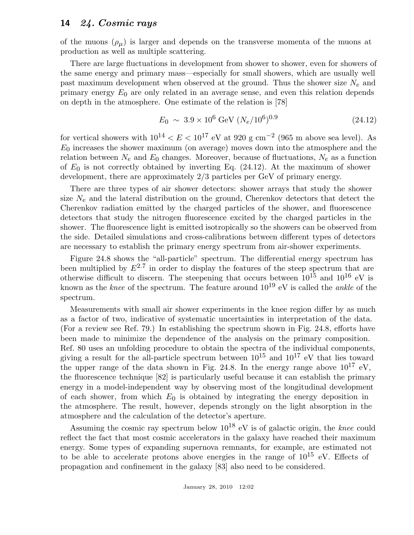of the muons  $(\rho_{\mu})$  is larger and depends on the transverse momenta of the muons at production as well as multiple scattering.

There are large fluctuations in development from shower to shower, even for showers of the same energy and primary mass—especially for small showers, which are usually well past maximum development when observed at the ground. Thus the shower size  $N_e$  and primary energy  $E_0$  are only related in an average sense, and even this relation depends on depth in the atmosphere. One estimate of the relation is [78]

$$
E_0 \sim 3.9 \times 10^6 \text{ GeV } (N_e/10^6)^{0.9} \tag{24.12}
$$

for vertical showers with  $10^{14} < E < 10^{17}$  eV at 920 g cm<sup>-2</sup> (965 m above sea level). As  $E_0$  increases the shower maximum (on average) moves down into the atmosphere and the relation between  $N_e$  and  $E_0$  changes. Moreover, because of fluctuations,  $N_e$  as a function of  $E_0$  is not correctly obtained by inverting Eq. (24.12). At the maximum of shower development, there are approximately 2/3 particles per GeV of primary energy.

There are three types of air shower detectors: shower arrays that study the shower size  $N_e$  and the lateral distribution on the ground, Cherenkov detectors that detect the Cherenkov radiation emitted by the charged particles of the shower, and fluorescence detectors that study the nitrogen fluorescence excited by the charged particles in the shower. The fluorescence light is emitted isotropically so the showers can be observed from the side. Detailed simulations and cross-calibrations between different types of detectors are necessary to establish the primary energy spectrum from air-shower experiments.

Figure 24.8 shows the "all-particle" spectrum. The differential energy spectrum has been multiplied by  $E^{2.7}$  in order to display the features of the steep spectrum that are otherwise difficult to discern. The steepening that occurs between  $10^{15}$  and  $10^{16}$  eV is known as the *knee* of the spectrum. The feature around 10<sup>19</sup> eV is called the *ankle* of the spectrum.

Measurements with small air shower experiments in the knee region differ by as much as a factor of two, indicative of systematic uncertainties in interpretation of the data. (For a review see Ref. 79.) In establishing the spectrum shown in Fig. 24.8, efforts have been made to minimize the dependence of the analysis on the primary composition. Ref. 80 uses an unfolding procedure to obtain the spectra of the individual components, giving a result for the all-particle spectrum between  $10^{15}$  and  $10^{17}$  eV that lies toward the upper range of the data shown in Fig. 24.8. In the energy range above  $10^{17}$  eV, the fluorescence technique [82] is particularly useful because it can establish the primary energy in a model-independent way by observing most of the longitudinal development of each shower, from which  $E_0$  is obtained by integrating the energy deposition in the atmosphere. The result, however, depends strongly on the light absorption in the atmosphere and the calculation of the detector's aperture.

Assuming the cosmic ray spectrum below 10<sup>18</sup> eV is of galactic origin, the *knee* could reflect the fact that most cosmic accelerators in the galaxy have reached their maximum energy. Some types of expanding supernova remnants, for example, are estimated not to be able to accelerate protons above energies in the range of  $10^{15}$  eV. Effects of propagation and confinement in the galaxy [83] also need to be considered.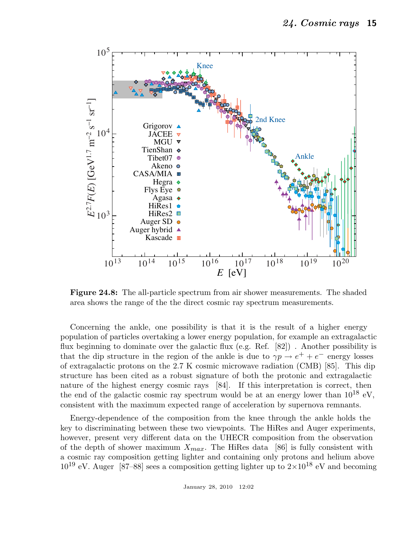

**Figure 24.8:** The all-particle spectrum from air shower measurements. The shaded area shows the range of the the direct cosmic ray spectrum measurements.

Concerning the ankle, one possibility is that it is the result of a higher energy population of particles overtaking a lower energy population, for example an extragalactic flux beginning to dominate over the galactic flux (e.g. Ref. [82]) . Another possibility is that the dip structure in the region of the ankle is due to  $\gamma p \to e^+ + e^-$  energy losses of extragalactic protons on the 2.7 K cosmic microwave radiation (CMB) [85]. This dip structure has been cited as a robust signature of both the protonic and extragalactic nature of the highest energy cosmic rays [84]. If this interpretation is correct, then the end of the galactic cosmic ray spectrum would be at an energy lower than  $10^{18}$  eV, consistent with the maximum expected range of acceleration by supernova remnants.

Energy-dependence of the composition from the knee through the ankle holds the key to discriminating between these two viewpoints. The HiRes and Auger experiments, however, present very different data on the UHECR composition from the observation of the depth of shower maximum  $X_{max}$ . The HiRes data [86] is fully consistent with a cosmic ray composition getting lighter and containing only protons and helium above  $10^{19}$  eV. Auger [87–88] sees a composition getting lighter up to  $2\times10^{18}$  eV and becoming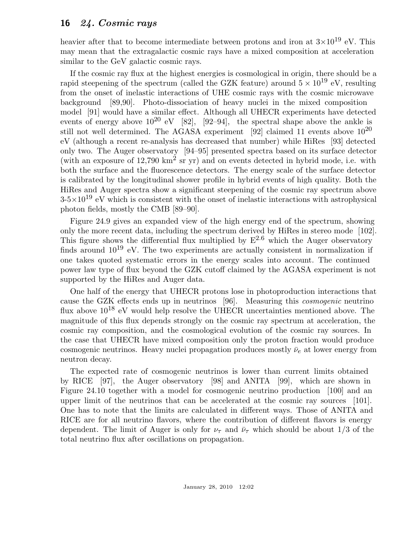heavier after that to become intermediate between protons and iron at  $3\times10^{19}$  eV. This may mean that the extragalactic cosmic rays have a mixed composition at acceleration similar to the GeV galactic cosmic rays.

If the cosmic ray flux at the highest energies is cosmological in origin, there should be a rapid steepening of the spectrum (called the GZK feature) around  $5 \times 10^{19}$  eV, resulting from the onset of inelastic interactions of UHE cosmic rays with the cosmic microwave background [89,90]. Photo-dissociation of heavy nuclei in the mixed composition model [91] would have a similar effect. Although all UHECR experiments have detected events of energy above  $10^{20}$  eV [82], [92–94], the spectral shape above the ankle is still not well determined. The AGASA experiment [92] claimed 11 events above  $10^{20}$ eV (although a recent re-analysis has decreased that number) while HiRes [93] detected only two. The Auger observatory [94–95] presented spectra based on its surface detector (with an exposure of  $12,790 \text{ km}^2$  sr yr) and on events detected in hybrid mode, i.e. with both the surface and the fluorescence detectors. The energy scale of the surface detector is calibrated by the longitudinal shower profile in hybrid events of high quality. Both the HiRes and Auger spectra show a significant steepening of the cosmic ray spectrum above  $3-5\times10^{19}$  eV which is consistent with the onset of inelastic interactions with astrophysical photon fields, mostly the CMB [89–90].

Figure 24.9 gives an expanded view of the high energy end of the spectrum, showing only the more recent data, including the spectrum derived by HiRes in stereo mode [102]. This figure shows the differential flux multiplied by  $E^{2.6}$  which the Auger observatory finds around  $10^{19}$  eV. The two experiments are actually consistent in normalization if one takes quoted systematic errors in the energy scales into account. The continued power law type of flux beyond the GZK cutoff claimed by the AGASA experiment is not supported by the HiRes and Auger data.

One half of the energy that UHECR protons lose in photoproduction interactions that cause the GZK effects ends up in neutrinos [96]. Measuring this *cosmogenic* neutrino flux above  $10^{18}$  eV would help resolve the UHECR uncertainties mentioned above. The magnitude of this flux depends strongly on the cosmic ray spectrum at acceleration, the cosmic ray composition, and the cosmological evolution of the cosmic ray sources. In the case that UHECR have mixed composition only the proton fraction would produce cosmogenic neutrinos. Heavy nuclei propagation produces mostly  $\bar{\nu}_e$  at lower energy from neutron decay.

The expected rate of cosmogenic neutrinos is lower than current limits obtained by RICE [97], the Auger observatory [98] and ANITA [99], which are shown in Figure 24.10 together with a model for cosmogenic neutrino production [100] and an upper limit of the neutrinos that can be accelerated at the cosmic ray sources [101]. One has to note that the limits are calculated in different ways. Those of ANITA and RICE are for all neutrino flavors, where the contribution of different flavors is energy dependent. The limit of Auger is only for  $\nu_{\tau}$  and  $\bar{\nu}_{\tau}$  which should be about 1/3 of the total neutrino flux after oscillations on propagation.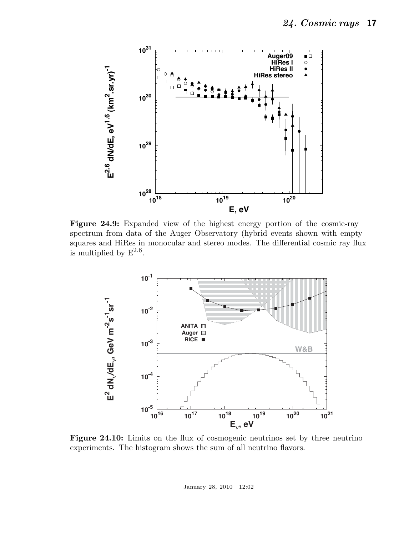

**Figure 24.9:** Expanded view of the highest energy portion of the cosmic-ray spectrum from data of the Auger Observatory (hybrid events shown with empty squares and HiRes in monocular and stereo modes. The differential cosmic ray flux is multiplied by  $E^{2.6}$ .



**Figure 24.10:** Limits on the flux of cosmogenic neutrinos set by three neutrino experiments. The histogram shows the sum of all neutrino flavors.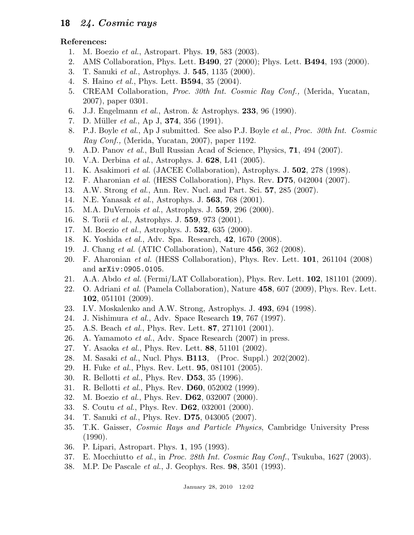- 1. M. Boezio *et al.*, Astropart. Phys. **19**, 583 (2003).<br>
2. AMS Collaboration, Phys. Lett. **B400**, 27 (2000).
	- 2. AMS Collaboration, Phys. Lett. **B490**, 27 (2000); Phys. Lett. **B494**, 193 (2000).
	- 3. T. Sanuki *et al.*, Astrophys. J. **545**, 1135 (2000).
	- 4. S. Haino *et al.*, Phys. Lett. **B594**, 35 (2004).
	- 5. CREAM Collaboration, *Proc. 30th Int. Cosmic Ray Conf.,* (Merida, Yucatan, 2007), paper 0301.
	- 6. J.J. Engelmann *et al.*, Astron. & Astrophys. **233**, 96 (1990).
	-
	- 7. D. Müller *et al.*, Ap J, **374**, 356 (1991).<br>8. P.J. Boyle *et al.*, Ap J submitted. See al 8. P.J. Boyle *et al.*, Ap J submitted. See also P.J. Boyle *et al.*, *Proc. 30th Int. Cosmic Ray Conf.,* (Merida, Yucatan, 2007), paper 1192.
- 9. A.D. Panov *et al.*, Bull Russian Acad of Science, Physics, **71**, 494 (2007).
- 
- 10. V.A. Derbina *et al.*, Astrophys. J. **628**, L41 (2005). 11. K. Asakimori *et al.* (JACEE Collaboration), Astrophys. J. **502**, 278 (1998).
- 12. F. Aharonian *et al.* (HESS Collaboration), Phys. Rev. **D75**, 042004 (2007).
- 13. A.W. Strong *et al.*, Ann. Rev. Nucl. and Part. Sci. **57**, 285 (2007).
- 
- 14. N.E. Yanasak *et al.*, Astrophys. J. **563**, 768 (2001). 15. M.A. DuVernois *et al.*, Astrophys. J. **559**, 296 (2000).
- 
- 16. S. Torii *et al.*, Astrophys. J. **559**, 973 (2001). 17. M. Boezio *et al.*, Astrophys. J. **532**, 635 (2000).
- 
- 18. K. Yoshida *et al.*, Adv. Spa. Research, **42**, 1670 (2008). 19. J. Chang *et al.* (ATIC Collaboration), Nature **456**, 362 (2008).
- 20. F. Aharonian *et al.* (HESS Collaboration), Phys. Rev. Lett. **<sup>101</sup>**, 261104 (2008) and arXiv:0905.0105.
- 21. A.A. Abdo *et al.* (Fermi/LAT Collaboration), Phys. Rev. Lett. **102**, 181101 (2009).
- 22. O. Adriani *et al.* (Pamela Collaboration), Nature **458**, 607 (2009), Phys. Rev. Lett. **102**, 051101 (2009).
- 23. I.V. Moskalenko and A.W. Strong, Astrophys. J. **493**, 694 (1998).
- 24. J. Nishimura *et al.*, Adv. Space Research **19**, 767 (1997).
- 25. A.S. Beach *et al.*, Phys. Rev. Lett. **87**, 271101 (2001).
- 26. A. Yamamoto *et al.*, Adv. Space Research (2007) in press.
- 27. Y. Asaoka *et al.*, Phys. Rev. Lett. **88**, 51101 (2002).
- 28. M. Sasaki *et al.*, Nucl. Phys. **B113**, (Proc. Suppl.) 202(2002).
- 29. H. Fuke *et al.*, Phys. Rev. Lett. **95**, 081101 (2005).
- 
- 30. R. Bellotti *et al.*, Phys. Rev. **D53**, 35 (1996). 31. R. Bellotti *et al.*, Phys. Rev. **D60**, 052002 (1999).
- 32. M. Boezio *et al.*, Phys. Rev. **D62**, 032007 (2000).
- 33. S. Coutu *et al.*, Phys. Rev. **D62**, 032001 (2000).
- 34. T. Sanuki *et al.*, Phys. Rev. **D75**, 043005 (2007).
- 35. T.K. Gaisser, *Cosmic Rays and Particle Physics*, Cambridge University Press (1990).
- 
- 36. P. Lipari, Astropart. Phys. **1**, 195 (1993). 37. E. Mocchiutto *et al.*, in *Proc. 28th Int. Cosmic Ray Conf.*, Tsukuba, 1627 (2003).
- 38. M.P. De Pascale *et al.*, J. Geophys. Res. **98**, 3501 (1993).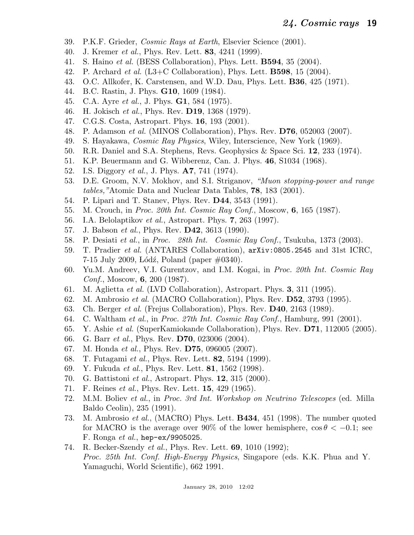- 39. P.K.F. Grieder, *Cosmic Rays at Earth*, Elsevier Science (2001).
- 40. J. Kremer *et al.*, Phys. Rev. Lett. **83**, 4241 (1999).
- 41. S. Haino *et al.* (BESS Collaboration), Phys. Lett. **B594**, 35 (2004).
- 42. P. Archard *et al.* (L3+C Collaboration), Phys. Lett. **B598**, 15 (2004).
- 43. O.C. Allkofer, K. Carstensen, and W.D. Dau, Phys. Lett. **B36**, 425 (1971).
- 44. B.C. Rastin, J. Phys. **G10**, 1609 (1984).
- 45. C.A. Ayre *et al.*, J. Phys. **G1**, 584 (1975).
- 46. H. Jokisch *et al.*, Phys. Rev. **D19**, 1368 (1979).
- 47. C.G.S. Costa, Astropart. Phys. **16**, 193 (2001).
- 48. P. Adamson *et al.* (MINOS Collaboration), Phys. Rev. **D76**, 052003 (2007).
- 49. S. Hayakawa, *Cosmic Ray Physics*, Wiley, Interscience, New York (1969).
- 50. R.R. Daniel and S.A. Stephens, Revs. Geophysics & Space Sci. **12**, 233 (1974).
- 51. K.P. Beuermann and G. Wibberenz, Can. J. Phys. **46**, S1034 (1968).
- 52. I.S. Diggory *et al.*, J. Phys. **A7**, 741 (1974).
- 53. D.E. Groom, N.V. Mokhov, and S.I. Striganov, *"Muon stopping-power and range tables,"*Atomic Data and Nuclear Data Tables, **78**, 183 (2001).
- 54. P. Lipari and T. Stanev, Phys. Rev. **D44**, 3543 (1991).
- 55. M. Crouch, in *Proc. 20th Int. Cosmic Ray Conf.*, Moscow, **6**, 165 (1987).
- 56. I.A. Belolaptikov *et al.*, Astropart. Phys. **7**, 263 (1997).
- 57. J. Babson *et al.*, Phys. Rev. **D42**, 3613 (1990).
- 58. P. Desiati *et al.*, in *Proc. 28th Int. Cosmic Ray Conf.*, Tsukuba, 1373 (2003).
- 59. T. Pradier *et al.* (ANTARES Collaboration), arXiv:0805.2545 and 31st ICRC, 7-15 July 2009, Lódź, Poland (paper  $\#0340$ ).
- 60. Yu.M. Andreev, V.I. Gurentzov, and I.M. Kogai, in *Proc. 20th Int. Cosmic Ray Conf.*, Moscow, **6**, 200 (1987).
- 61. M. Aglietta *et al.* (LVD Collaboration), Astropart. Phys. **<sup>3</sup>**, 311 (1995).
- 62. M. Ambrosio *et al.* (MACRO Collaboration), Phys. Rev. **D52**, 3793 (1995).
- 63. Ch. Berger *et al.* (Frejus Collaboration), Phys. Rev. **D40**, 2163 (1989).
- 64. C. Waltham *et al.*, in *Proc. 27th Int. Cosmic Ray Conf.*, Hamburg, 991 (2001).
- 65. Y. Ashie *et al.* (SuperKamiokande Collaboration), Phys. Rev. **D71**, 112005 (2005).
- 66. G. Barr *et al.*, Phys. Rev. **D70**, 023006 (2004).
- 67. M. Honda *et al.*, Phys. Rev. **D75**, 096005 (2007).
- 68. T. Futagami *et al.*, Phys. Rev. Lett. **82**, 5194 (1999).
- 69. Y. Fukuda *et al.*, Phys. Rev. Lett. **81**, 1562 (1998).
- 70. G. Battistoni *et al.*, Astropart. Phys. **12**, 315 (2000).
- 71. F. Reines *et al.*, Phys. Rev. Lett. **15**, 429 (1965).
- 72. M.M. Boliev *et al.*, in *Proc. 3rd Int. Workshop on Neutrino Telescopes* (ed. Milla Baldo Ceolin), 235 (1991).
- 73. M. Ambrosio *et al.*, (MACRO) Phys. Lett. **B434**, 451 (1998). The number quoted for MACRO is the average over 90% of the lower hemisphere,  $\cos \theta < -0.1$ ; see F. Ronga *et al.*, hep-ex/9905025.
- 74. R. Becker-Szendy *et al.*, Phys. Rev. Lett. **69**, 1010 (1992); *Proc. 25th Int. Conf. High-Energy Physics*, Singapore (eds. K.K. Phua and Y. Yamaguchi, World Scientific), 662 1991.